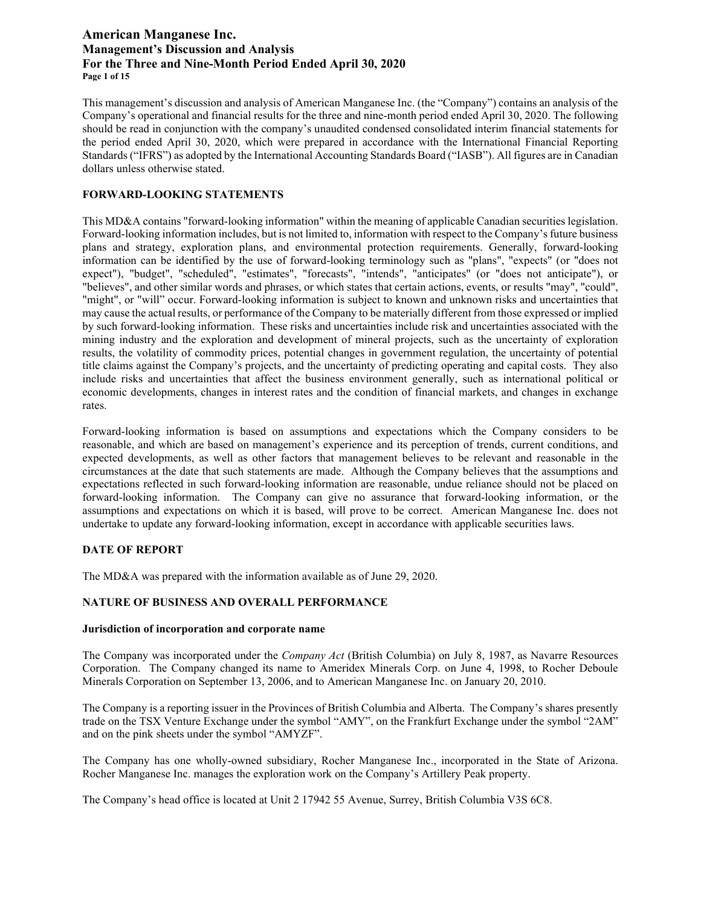# **American Manganese Inc. Management's Discussion and Analysis For the Three and Nine-Month Period Ended April 30, 2020 Page 1 of 15**

This management's discussion and analysis of American Manganese Inc. (the "Company") contains an analysis of the Company's operational and financial results for the three and nine-month period ended April 30, 2020. The following should be read in conjunction with the company's unaudited condensed consolidated interim financial statements for the period ended April 30, 2020, which were prepared in accordance with the International Financial Reporting Standards ("IFRS") as adopted by the International Accounting Standards Board ("IASB"). All figures are in Canadian dollars unless otherwise stated.

### **FORWARD-LOOKING STATEMENTS**

This MD&A contains "forward-looking information" within the meaning of applicable Canadian securities legislation. Forward-looking information includes, but is not limited to, information with respect to the Company's future business plans and strategy, exploration plans, and environmental protection requirements. Generally, forward-looking information can be identified by the use of forward-looking terminology such as "plans", "expects" (or "does not expect"), "budget", "scheduled", "estimates", "forecasts", "intends", "anticipates" (or "does not anticipate"), or "believes", and other similar words and phrases, or which states that certain actions, events, or results "may", "could", "might", or "will" occur. Forward-looking information is subject to known and unknown risks and uncertainties that may cause the actual results, or performance of the Company to be materially different from those expressed or implied by such forward-looking information. These risks and uncertainties include risk and uncertainties associated with the mining industry and the exploration and development of mineral projects, such as the uncertainty of exploration results, the volatility of commodity prices, potential changes in government regulation, the uncertainty of potential title claims against the Company's projects, and the uncertainty of predicting operating and capital costs. They also include risks and uncertainties that affect the business environment generally, such as international political or economic developments, changes in interest rates and the condition of financial markets, and changes in exchange rates.

Forward-looking information is based on assumptions and expectations which the Company considers to be reasonable, and which are based on management's experience and its perception of trends, current conditions, and expected developments, as well as other factors that management believes to be relevant and reasonable in the circumstances at the date that such statements are made. Although the Company believes that the assumptions and expectations reflected in such forward-looking information are reasonable, undue reliance should not be placed on forward-looking information. The Company can give no assurance that forward-looking information, or the assumptions and expectations on which it is based, will prove to be correct. American Manganese Inc. does not undertake to update any forward-looking information, except in accordance with applicable securities laws.

#### **DATE OF REPORT**

The MD&A was prepared with the information available as of June 29, 2020.

# **NATURE OF BUSINESS AND OVERALL PERFORMANCE**

#### **Jurisdiction of incorporation and corporate name**

The Company was incorporated under the *Company Act* (British Columbia) on July 8, 1987, as Navarre Resources Corporation. The Company changed its name to Ameridex Minerals Corp. on June 4, 1998, to Rocher Deboule Minerals Corporation on September 13, 2006, and to American Manganese Inc. on January 20, 2010.

The Company is a reporting issuer in the Provinces of British Columbia and Alberta. The Company's shares presently trade on the TSX Venture Exchange under the symbol "AMY", on the Frankfurt Exchange under the symbol "2AM" and on the pink sheets under the symbol "AMYZF".

The Company has one wholly-owned subsidiary, Rocher Manganese Inc., incorporated in the State of Arizona. Rocher Manganese Inc. manages the exploration work on the Company's Artillery Peak property.

The Company's head office is located at Unit 2 17942 55 Avenue, Surrey, British Columbia V3S 6C8.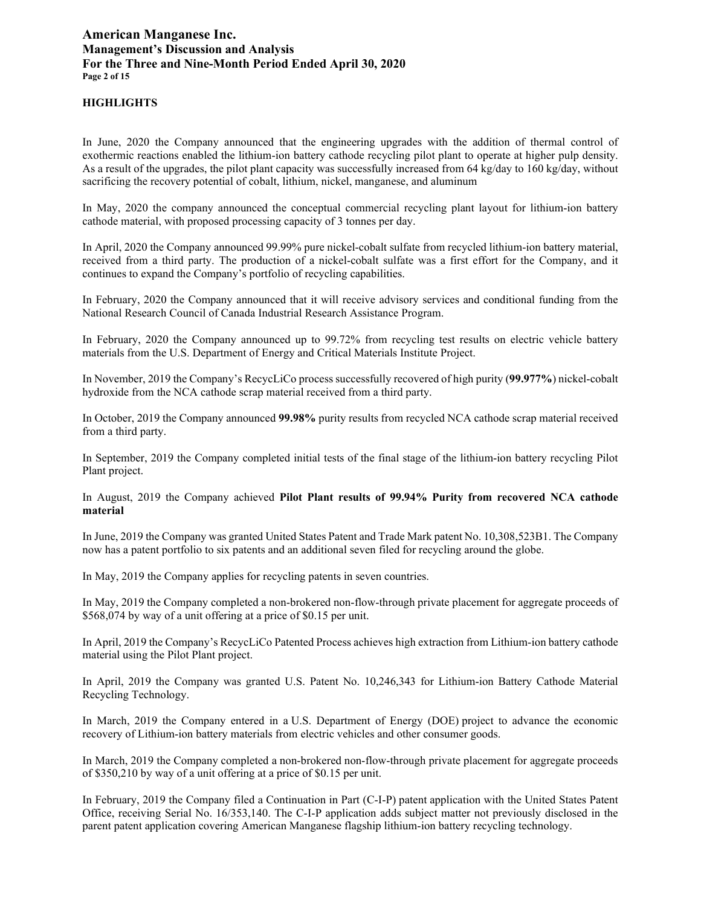# **American Manganese Inc. Management's Discussion and Analysis For the Three and Nine-Month Period Ended April 30, 2020 Page 2 of 15**

### **HIGHLIGHTS**

In June, 2020 the Company announced that the engineering upgrades with the addition of thermal control of exothermic reactions enabled the lithium-ion battery cathode recycling pilot plant to operate at higher pulp density. As a result of the upgrades, the pilot plant capacity was successfully increased from 64 kg/day to 160 kg/day, without sacrificing the recovery potential of cobalt, lithium, nickel, manganese, and aluminum

In May, 2020 the company announced the conceptual commercial recycling plant layout for lithium-ion battery cathode material, with proposed processing capacity of 3 tonnes per day.

In April, 2020 the Company announced 99.99% pure nickel-cobalt sulfate from recycled lithium-ion battery material, received from a third party. The production of a nickel-cobalt sulfate was a first effort for the Company, and it continues to expand the Company's portfolio of recycling capabilities.

In February, 2020 the Company announced that it will receive advisory services and conditional funding from the National Research Council of Canada Industrial Research Assistance Program.

In February, 2020 the Company announced up to 99.72% from recycling test results on electric vehicle battery materials from the U.S. Department of Energy and Critical Materials Institute Project.

In November, 2019 the Company's RecycLiCo process successfully recovered of high purity (**99.977%**) nickel-cobalt hydroxide from the NCA cathode scrap material received from a third party.

In October, 2019 the Company announced **99.98%** purity results from recycled NCA cathode scrap material received from a third party.

In September, 2019 the Company completed initial tests of the final stage of the lithium-ion battery recycling Pilot Plant project.

In August, 2019 the Company achieved **Pilot Plant results of 99.94% Purity from recovered NCA cathode material**

In June, 2019 the Company was granted United States Patent and Trade Mark patent No. 10,308,523B1. The Company now has a patent portfolio to six patents and an additional seven filed for recycling around the globe.

In May, 2019 the Company applies for recycling patents in seven countries.

In May, 2019 the Company completed a non-brokered non-flow-through private placement for aggregate proceeds of \$568,074 by way of a unit offering at a price of \$0.15 per unit.

In April, 2019 the Company's RecycLiCo Patented Process achieves high extraction from Lithium-ion battery cathode material using the Pilot Plant project.

In April, 2019 the Company was granted U.S. Patent No. 10,246,343 for Lithium-ion Battery Cathode Material Recycling Technology.

In March, 2019 the Company entered in a [U.S. Department of Energy \(DOE\)](http://www.energy.gov/) project to advance the economic recovery of Lithium-ion battery materials from electric vehicles and other consumer goods.

In March, 2019 the Company completed a non-brokered non-flow-through private placement for aggregate proceeds of \$350,210 by way of a unit offering at a price of \$0.15 per unit.

In February, 2019 the Company filed a Continuation in Part (C-I-P) patent application with the United States Patent Office, receiving Serial No. 16/353,140. The C-I-P application adds subject matter not previously disclosed in the parent patent application covering American Manganese flagship lithium-ion battery recycling technology.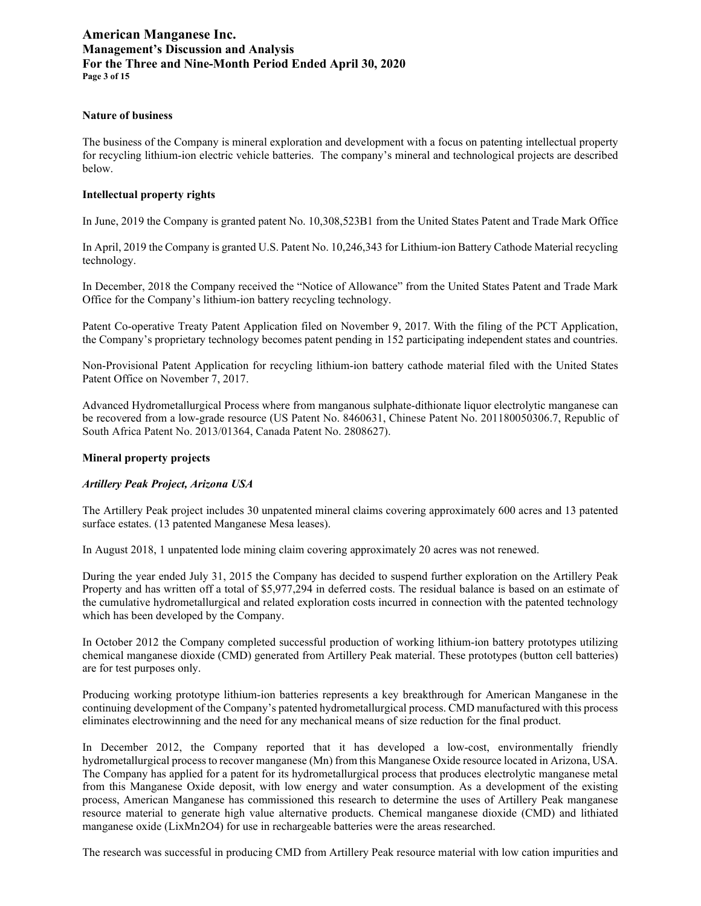# **American Manganese Inc. Management's Discussion and Analysis For the Three and Nine-Month Period Ended April 30, 2020 Page 3 of 15**

#### **Nature of business**

The business of the Company is mineral exploration and development with a focus on patenting intellectual property for recycling lithium-ion electric vehicle batteries. The company's mineral and technological projects are described below.

#### **Intellectual property rights**

In June, 2019 the Company is granted patent No. 10,308,523B1 from the United States Patent and Trade Mark Office

In April, 2019 the Company is granted U.S. Patent No. 10,246,343 for Lithium-ion Battery Cathode Material recycling technology.

In December, 2018 the Company received the "Notice of Allowance" from the United States Patent and Trade Mark Office for the Company's lithium-ion battery recycling technology.

Patent Co-operative Treaty Patent Application filed on November 9, 2017. With the filing of the PCT Application, the Company's proprietary technology becomes patent pending in 152 participating independent states and countries.

Non-Provisional Patent Application for recycling lithium-ion battery cathode material filed with the United States Patent Office on November 7, 2017.

Advanced Hydrometallurgical Process where from manganous sulphate-dithionate liquor electrolytic manganese can be recovered from a low-grade resource (US Patent No. 8460631, Chinese Patent No. 201180050306.7, Republic of South Africa Patent No. 2013/01364, Canada Patent No. 2808627).

#### **Mineral property projects**

#### *Artillery Peak Project, Arizona USA*

The Artillery Peak project includes 30 unpatented mineral claims covering approximately 600 acres and 13 patented surface estates. (13 patented Manganese Mesa leases).

In August 2018, 1 unpatented lode mining claim covering approximately 20 acres was not renewed.

During the year ended July 31, 2015 the Company has decided to suspend further exploration on the Artillery Peak Property and has written off a total of \$5,977,294 in deferred costs. The residual balance is based on an estimate of the cumulative hydrometallurgical and related exploration costs incurred in connection with the patented technology which has been developed by the Company.

In October 2012 the Company completed successful production of working lithium-ion battery prototypes utilizing chemical manganese dioxide (CMD) generated from Artillery Peak material. These prototypes (button cell batteries) are for test purposes only.

Producing working prototype lithium-ion batteries represents a key breakthrough for American Manganese in the continuing development of the Company's patented hydrometallurgical process. CMD manufactured with this process eliminates electrowinning and the need for any mechanical means of size reduction for the final product.

In December 2012, the Company reported that it has developed a low-cost, environmentally friendly hydrometallurgical process to recover manganese (Mn) from this Manganese Oxide resource located in Arizona, USA. The Company has applied for a patent for its hydrometallurgical process that produces electrolytic manganese metal from this Manganese Oxide deposit, with low energy and water consumption. As a development of the existing process, American Manganese has commissioned this research to determine the uses of Artillery Peak manganese resource material to generate high value alternative products. Chemical manganese dioxide (CMD) and lithiated manganese oxide (LixMn2O4) for use in rechargeable batteries were the areas researched.

The research was successful in producing CMD from Artillery Peak resource material with low cation impurities and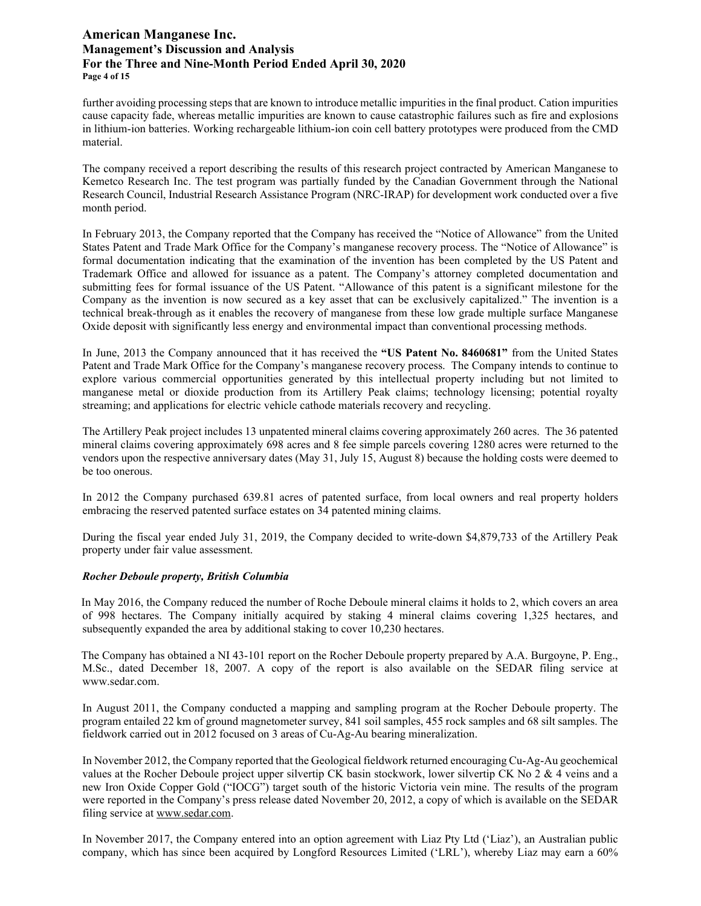# **American Manganese Inc. Management's Discussion and Analysis For the Three and Nine-Month Period Ended April 30, 2020 Page 4 of 15**

further avoiding processing steps that are known to introduce metallic impurities in the final product. Cation impurities cause capacity fade, whereas metallic impurities are known to cause catastrophic failures such as fire and explosions in lithium-ion batteries. Working rechargeable lithium-ion coin cell battery prototypes were produced from the CMD material.

The company received a report describing the results of this research project contracted by American Manganese to Kemetco Research Inc. The test program was partially funded by the Canadian Government through the National Research Council, Industrial Research Assistance Program (NRC-IRAP) for development work conducted over a five month period.

In February 2013, the Company reported that the Company has received the "Notice of Allowance" from the United States Patent and Trade Mark Office for the Company's manganese recovery process. The "Notice of Allowance" is formal documentation indicating that the examination of the invention has been completed by the US Patent and Trademark Office and allowed for issuance as a patent. The Company's attorney completed documentation and submitting fees for formal issuance of the US Patent. "Allowance of this patent is a significant milestone for the Company as the invention is now secured as a key asset that can be exclusively capitalized." The invention is a technical break-through as it enables the recovery of manganese from these low grade multiple surface Manganese Oxide deposit with significantly less energy and environmental impact than conventional processing methods.

In June, 2013 the Company announced that it has received the **"US Patent No. 8460681"** from the United States Patent and Trade Mark Office for the Company's manganese recovery process. The Company intends to continue to explore various commercial opportunities generated by this intellectual property including but not limited to manganese metal or dioxide production from its Artillery Peak claims; technology licensing; potential royalty streaming; and applications for electric vehicle cathode materials recovery and recycling.

The Artillery Peak project includes 13 unpatented mineral claims covering approximately 260 acres. The 36 patented mineral claims covering approximately 698 acres and 8 fee simple parcels covering 1280 acres were returned to the vendors upon the respective anniversary dates (May 31, July 15, August 8) because the holding costs were deemed to be too onerous.

In 2012 the Company purchased 639.81 acres of patented surface, from local owners and real property holders embracing the reserved patented surface estates on 34 patented mining claims.

During the fiscal year ended July 31, 2019, the Company decided to write-down \$4,879,733 of the Artillery Peak property under fair value assessment.

### *Rocher Deboule property, British Columbia*

In May 2016, the Company reduced the number of Roche Deboule mineral claims it holds to 2, which covers an area of 998 hectares. The Company initially acquired by staking 4 mineral claims covering 1,325 hectares, and subsequently expanded the area by additional staking to cover 10,230 hectares.

The Company has obtained a NI 43-101 report on the Rocher Deboule property prepared by A.A. Burgoyne, P. Eng., M.Sc., dated December 18, 2007. A copy of the report is also available on the SEDAR filing service at www.sedar.com.

In August 2011, the Company conducted a mapping and sampling program at the Rocher Deboule property. The program entailed 22 km of ground magnetometer survey, 841 soil samples, 455 rock samples and 68 silt samples. The fieldwork carried out in 2012 focused on 3 areas of Cu-Ag-Au bearing mineralization.

In November 2012, the Company reported that the Geological fieldwork returned encouraging Cu-Ag-Au geochemical values at the Rocher Deboule project upper silvertip CK basin stockwork, lower silvertip CK No 2 & 4 veins and a new Iron Oxide Copper Gold ("IOCG") target south of the historic Victoria vein mine. The results of the program were reported in the Company's press release dated November 20, 2012, a copy of which is available on the SEDAR filing service a[t www.sedar.com.](http://www.sedar.com/)

In November 2017, the Company entered into an option agreement with Liaz Pty Ltd ('Liaz'), an Australian public company, which has since been acquired by Longford Resources Limited ('LRL'), whereby Liaz may earn a 60%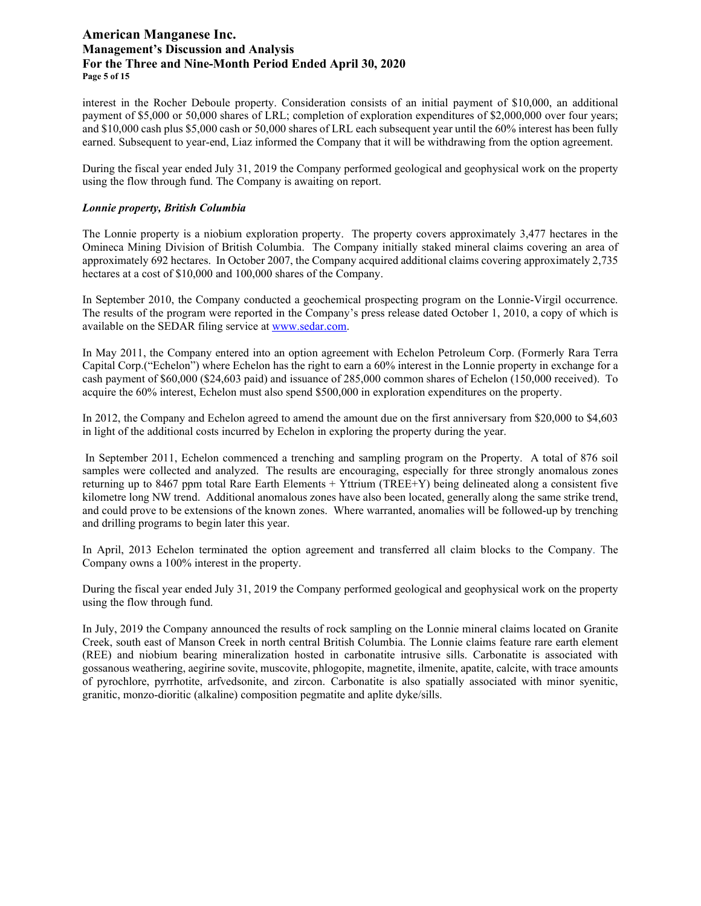# **American Manganese Inc. Management's Discussion and Analysis For the Three and Nine-Month Period Ended April 30, 2020 Page 5 of 15**

interest in the Rocher Deboule property. Consideration consists of an initial payment of \$10,000, an additional payment of \$5,000 or 50,000 shares of LRL; completion of exploration expenditures of \$2,000,000 over four years; and \$10,000 cash plus \$5,000 cash or 50,000 shares of LRL each subsequent year until the 60% interest has been fully earned. Subsequent to year-end, Liaz informed the Company that it will be withdrawing from the option agreement.

During the fiscal year ended July 31, 2019 the Company performed geological and geophysical work on the property using the flow through fund. The Company is awaiting on report.

### *Lonnie property, British Columbia*

The Lonnie property is a niobium exploration property. The property covers approximately 3,477 hectares in the Omineca Mining Division of British Columbia. The Company initially staked mineral claims covering an area of approximately 692 hectares. In October 2007, the Company acquired additional claims covering approximately 2,735 hectares at a cost of \$10,000 and 100,000 shares of the Company.

In September 2010, the Company conducted a geochemical prospecting program on the Lonnie-Virgil occurrence. The results of the program were reported in the Company's press release dated October 1, 2010, a copy of which is available on the SEDAR filing service at [www.sedar.com.](http://www.sedar.com/)

In May 2011, the Company entered into an option agreement with Echelon Petroleum Corp. (Formerly Rara Terra Capital Corp.("Echelon") where Echelon has the right to earn a 60% interest in the Lonnie property in exchange for a cash payment of \$60,000 (\$24,603 paid) and issuance of 285,000 common shares of Echelon (150,000 received). To acquire the 60% interest, Echelon must also spend \$500,000 in exploration expenditures on the property.

In 2012, the Company and Echelon agreed to amend the amount due on the first anniversary from \$20,000 to \$4,603 in light of the additional costs incurred by Echelon in exploring the property during the year.

In September 2011, Echelon commenced a trenching and sampling program on the Property. A total of 876 soil samples were collected and analyzed. The results are encouraging, especially for three strongly anomalous zones returning up to 8467 ppm total Rare Earth Elements + Yttrium (TREE+Y) being delineated along a consistent five kilometre long NW trend. Additional anomalous zones have also been located, generally along the same strike trend, and could prove to be extensions of the known zones. Where warranted, anomalies will be followed-up by trenching and drilling programs to begin later this year.

In April, 2013 Echelon terminated the option agreement and transferred all claim blocks to the Company. The Company owns a 100% interest in the property.

During the fiscal year ended July 31, 2019 the Company performed geological and geophysical work on the property using the flow through fund.

In July, 2019 the Company announced the results of rock sampling on the Lonnie mineral claims located on Granite Creek, south east of Manson Creek in north central British Columbia. The Lonnie claims feature rare earth element (REE) and niobium bearing mineralization hosted in carbonatite intrusive sills. Carbonatite is associated with gossanous weathering, aegirine sovite, muscovite, phlogopite, magnetite, ilmenite, apatite, calcite, with trace amounts of pyrochlore, pyrrhotite, arfvedsonite, and zircon. Carbonatite is also spatially associated with minor syenitic, granitic, monzo-dioritic (alkaline) composition pegmatite and aplite dyke/sills.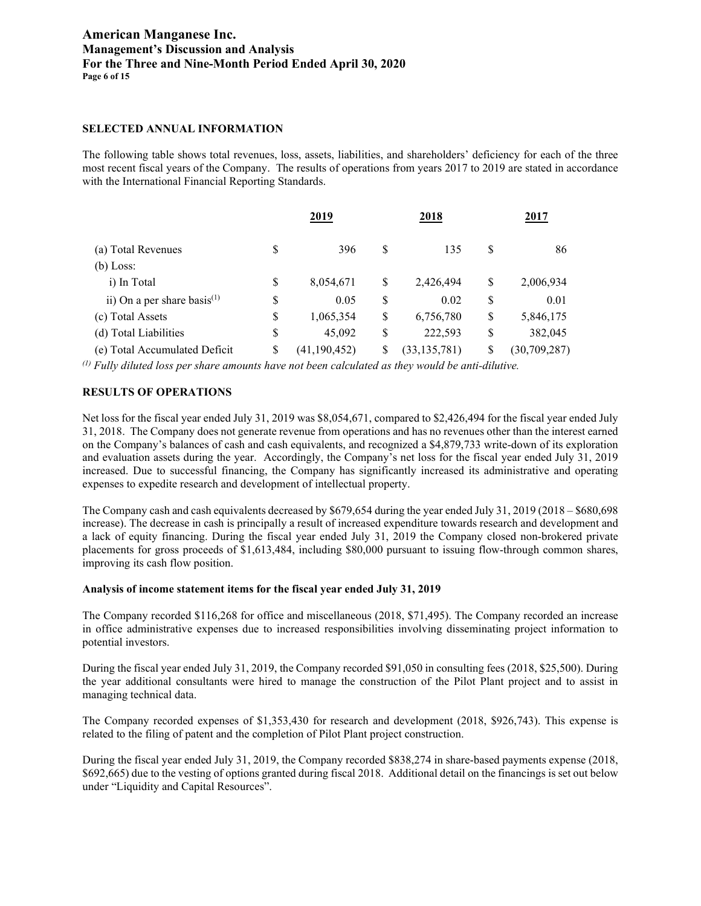# **American Manganese Inc. Management's Discussion and Analysis For the Three and Nine-Month Period Ended April 30, 2020 Page 6 of 15**

### **SELECTED ANNUAL INFORMATION**

The following table shows total revenues, loss, assets, liabilities, and shareholders' deficiency for each of the three most recent fiscal years of the Company. The results of operations from years 2017 to 2019 are stated in accordance with the International Financial Reporting Standards.

|                                   | <u>2019</u> |                | <u>2018</u>          | <u> 2017</u> |                |  |  |
|-----------------------------------|-------------|----------------|----------------------|--------------|----------------|--|--|
| (a) Total Revenues                | S           | 396            | \$<br>135            | S            | 86             |  |  |
| $(b)$ Loss:                       |             |                |                      |              |                |  |  |
| i) In Total                       | \$          | 8,054,671      | \$<br>2,426,494      | \$           | 2,006,934      |  |  |
| ii) On a per share basis $^{(1)}$ | \$          | 0.05           | \$<br>0.02           | \$           | 0.01           |  |  |
| (c) Total Assets                  | \$          | 1,065,354      | \$<br>6,756,780      | \$           | 5,846,175      |  |  |
| (d) Total Liabilities             | \$          | 45,092         | \$<br>222,593        | \$           | 382,045        |  |  |
| (e) Total Accumulated Deficit     | \$          | (41, 190, 452) | \$<br>(33, 135, 781) | \$           | (30, 709, 287) |  |  |

*(1) Fully diluted loss per share amounts have not been calculated as they would be anti-dilutive.*

### **RESULTS OF OPERATIONS**

Net loss for the fiscal year ended July 31, 2019 was \$8,054,671, compared to \$2,426,494 for the fiscal year ended July 31, 2018. The Company does not generate revenue from operations and has no revenues other than the interest earned on the Company's balances of cash and cash equivalents, and recognized a \$4,879,733 write-down of its exploration and evaluation assets during the year. Accordingly, the Company's net loss for the fiscal year ended July 31, 2019 increased. Due to successful financing, the Company has significantly increased its administrative and operating expenses to expedite research and development of intellectual property.

The Company cash and cash equivalents decreased by \$679,654 during the year ended July 31, 2019 (2018 – \$680,698 increase). The decrease in cash is principally a result of increased expenditure towards research and development and a lack of equity financing. During the fiscal year ended July 31, 2019 the Company closed non-brokered private placements for gross proceeds of \$1,613,484, including \$80,000 pursuant to issuing flow-through common shares, improving its cash flow position.

#### **Analysis of income statement items for the fiscal year ended July 31, 2019**

The Company recorded \$116,268 for office and miscellaneous (2018, \$71,495). The Company recorded an increase in office administrative expenses due to increased responsibilities involving disseminating project information to potential investors.

During the fiscal year ended July 31, 2019, the Company recorded \$91,050 in consulting fees (2018, \$25,500). During the year additional consultants were hired to manage the construction of the Pilot Plant project and to assist in managing technical data.

The Company recorded expenses of \$1,353,430 for research and development (2018, \$926,743). This expense is related to the filing of patent and the completion of Pilot Plant project construction.

During the fiscal year ended July 31, 2019, the Company recorded \$838,274 in share-based payments expense (2018, \$692,665) due to the vesting of options granted during fiscal 2018. Additional detail on the financings is set out below under "Liquidity and Capital Resources".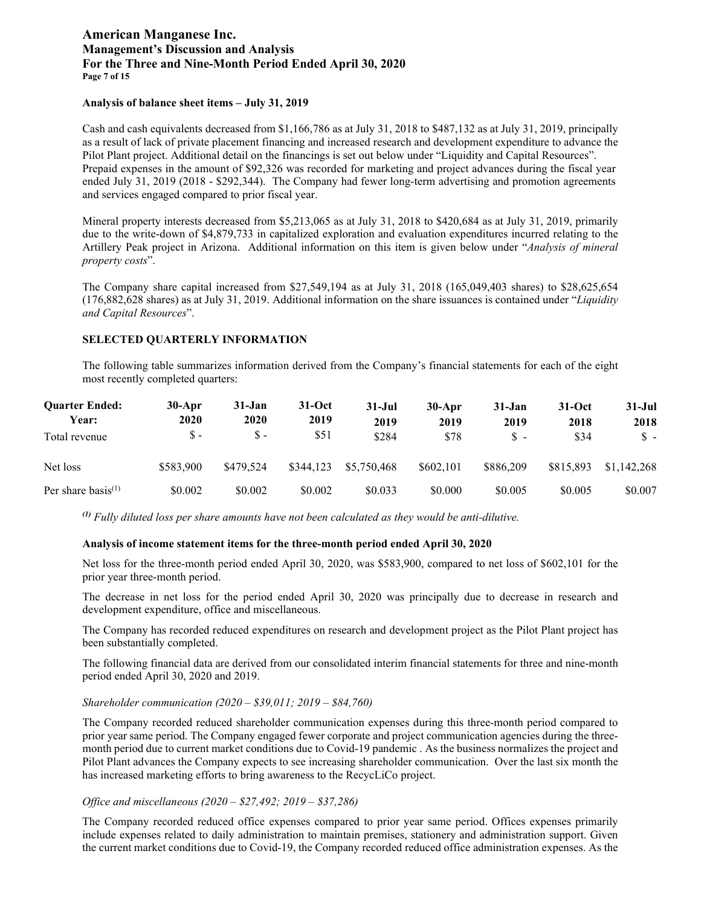# **American Manganese Inc. Management's Discussion and Analysis For the Three and Nine-Month Period Ended April 30, 2020 Page 7 of 15**

#### **Analysis of balance sheet items – July 31, 2019**

Cash and cash equivalents decreased from \$1,166,786 as at July 31, 2018 to \$487,132 as at July 31, 2019, principally as a result of lack of private placement financing and increased research and development expenditure to advance the Pilot Plant project. Additional detail on the financings is set out below under "Liquidity and Capital Resources". Prepaid expenses in the amount of \$92,326 was recorded for marketing and project advances during the fiscal year ended July 31, 2019 (2018 - \$292,344). The Company had fewer long-term advertising and promotion agreements and services engaged compared to prior fiscal year.

Mineral property interests decreased from \$5,213,065 as at July 31, 2018 to \$420,684 as at July 31, 2019, primarily due to the write-down of \$4,879,733 in capitalized exploration and evaluation expenditures incurred relating to the Artillery Peak project in Arizona. Additional information on this item is given below under "*Analysis of mineral property costs*".

The Company share capital increased from \$27,549,194 as at July 31, 2018 (165,049,403 shares) to \$28,625,654 (176,882,628 shares) as at July 31, 2019. Additional information on the share issuances is contained under "*Liquidity and Capital Resources*".

# **SELECTED QUARTERLY INFORMATION**

The following table summarizes information derived from the Company's financial statements for each of the eight most recently completed quarters:

| <b>Ouarter Ended:</b><br>Year: | $30-Apr$<br>2020 | $31 - Jan$<br>2020 | $31-Oct$<br>2019 | $31 - Jul$<br>2019 | $30-Apr$<br>2019 | $31-Jan$<br>2019 | $31-Oct$<br>2018 | $31 -$ Jul<br>2018 |
|--------------------------------|------------------|--------------------|------------------|--------------------|------------------|------------------|------------------|--------------------|
| Total revenue                  | $S -$            | $\mathbf{s}$ -     | \$51             | \$284              | \$78             | \$-              | \$34             | \$-                |
| Net loss                       | \$583,900        | \$479.524          | \$344,123        | \$5,750,468        | \$602,101        | \$886,209        | \$815,893        | \$1,142,268        |
| Per share basis <sup>(1)</sup> | \$0.002          | \$0.002            | \$0.002          | \$0.033            | \$0,000          | \$0.005          | \$0.005          | \$0.007            |

*(1) Fully diluted loss per share amounts have not been calculated as they would be anti-dilutive.*

### **Analysis of income statement items for the three-month period ended April 30, 2020**

Net loss for the three-month period ended April 30, 2020, was \$583,900, compared to net loss of \$602,101 for the prior year three-month period.

The decrease in net loss for the period ended April 30, 2020 was principally due to decrease in research and development expenditure, office and miscellaneous.

The Company has recorded reduced expenditures on research and development project as the Pilot Plant project has been substantially completed.

The following financial data are derived from our consolidated interim financial statements for three and nine-month period ended April 30, 2020 and 2019.

### *Shareholder communication (2020 – \$39,011; 2019 – \$84,760)*

The Company recorded reduced shareholder communication expenses during this three-month period compared to prior year same period. The Company engaged fewer corporate and project communication agencies during the threemonth period due to current market conditions due to Covid-19 pandemic . As the business normalizes the project and Pilot Plant advances the Company expects to see increasing shareholder communication. Over the last six month the has increased marketing efforts to bring awareness to the RecycLiCo project.

### *Office and miscellaneous (2020 – \$27,492; 2019 – \$37,286)*

The Company recorded reduced office expenses compared to prior year same period. Offices expenses primarily include expenses related to daily administration to maintain premises, stationery and administration support. Given the current market conditions due to Covid-19, the Company recorded reduced office administration expenses. As the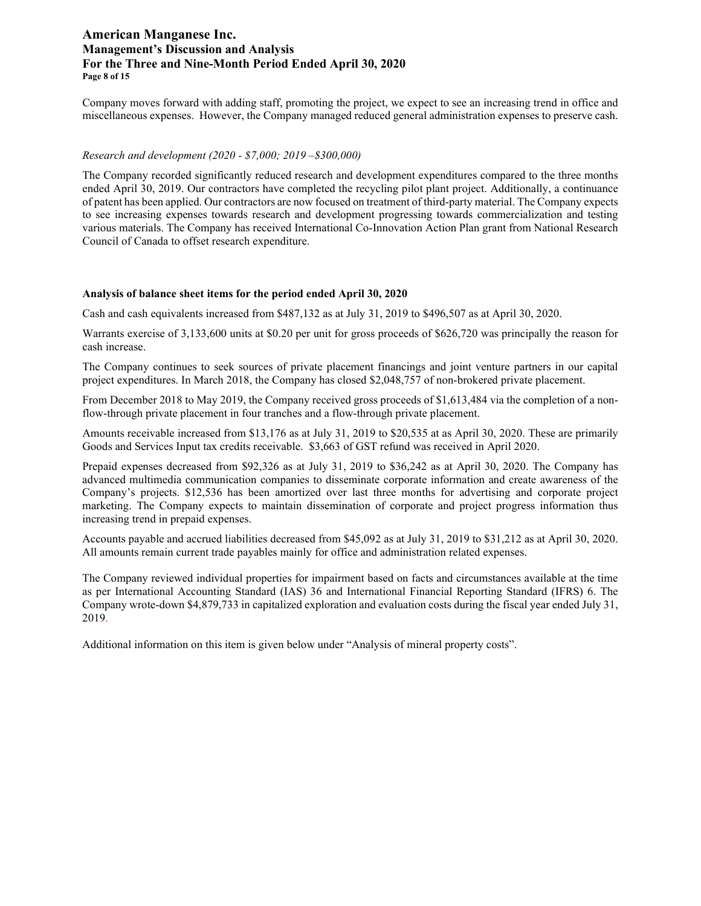# **American Manganese Inc. Management's Discussion and Analysis For the Three and Nine-Month Period Ended April 30, 2020 Page 8 of 15**

Company moves forward with adding staff, promoting the project, we expect to see an increasing trend in office and miscellaneous expenses. However, the Company managed reduced general administration expenses to preserve cash.

#### *Research and development (2020 - \$7,000; 2019 –\$300,000)*

The Company recorded significantly reduced research and development expenditures compared to the three months ended April 30, 2019. Our contractors have completed the recycling pilot plant project. Additionally, a continuance of patent has been applied. Our contractors are now focused on treatment of third-party material. The Company expects to see increasing expenses towards research and development progressing towards commercialization and testing various materials. The Company has received International Co-Innovation Action Plan grant from National Research Council of Canada to offset research expenditure.

#### **Analysis of balance sheet items for the period ended April 30, 2020**

Cash and cash equivalents increased from \$487,132 as at July 31, 2019 to \$496,507 as at April 30, 2020.

Warrants exercise of 3,133,600 units at \$0.20 per unit for gross proceeds of \$626,720 was principally the reason for cash increase.

The Company continues to seek sources of private placement financings and joint venture partners in our capital project expenditures. In March 2018, the Company has closed \$2,048,757 of non-brokered private placement.

From December 2018 to May 2019, the Company received gross proceeds of \$1,613,484 via the completion of a nonflow-through private placement in four tranches and a flow-through private placement.

Amounts receivable increased from \$13,176 as at July 31, 2019 to \$20,535 at as April 30, 2020. These are primarily Goods and Services Input tax credits receivable. \$3,663 of GST refund was received in April 2020.

Prepaid expenses decreased from \$92,326 as at July 31, 2019 to \$36,242 as at April 30, 2020. The Company has advanced multimedia communication companies to disseminate corporate information and create awareness of the Company's projects. \$12,536 has been amortized over last three months for advertising and corporate project marketing. The Company expects to maintain dissemination of corporate and project progress information thus increasing trend in prepaid expenses.

Accounts payable and accrued liabilities decreased from \$45,092 as at July 31, 2019 to \$31,212 as at April 30, 2020. All amounts remain current trade payables mainly for office and administration related expenses.

The Company reviewed individual properties for impairment based on facts and circumstances available at the time as per International Accounting Standard (IAS) 36 and International Financial Reporting Standard (IFRS) 6. The Company wrote-down \$4,879,733 in capitalized exploration and evaluation costs during the fiscal year ended July 31, 2019.

Additional information on this item is given below under "Analysis of mineral property costs".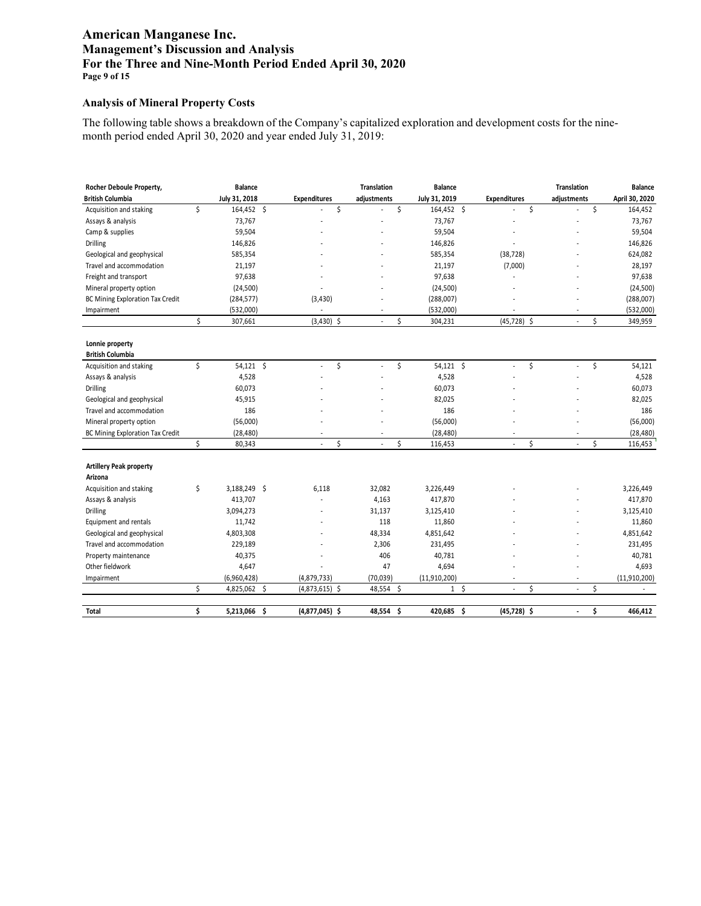# **American Manganese Inc. Management's Discussion and Analysis For the Three and Nine-Month Period Ended April 30, 2020 Page 9 of 15**

### **Analysis of Mineral Property Costs**

The following table shows a breakdown of the Company's capitalized exploration and development costs for the ninemonth period ended April 30, 2020 and year ended July 31, 2019:

| Rocher Deboule Property,         |    | <b>Balance</b> |                     |    | <b>Translation</b> |     | <b>Balance</b> |                |                     | <b>Translation</b>             |    | <b>Balance</b> |
|----------------------------------|----|----------------|---------------------|----|--------------------|-----|----------------|----------------|---------------------|--------------------------------|----|----------------|
| <b>British Columbia</b>          |    | July 31, 2018  | <b>Expenditures</b> |    | adjustments        |     | July 31, 2019  |                | <b>Expenditures</b> | adjustments                    |    | April 30, 2020 |
| Acquisition and staking          | \$ | 164,452 \$     |                     | \$ |                    | \$  | 164,452 \$     |                |                     | \$                             | \$ | 164,452        |
| Assays & analysis                |    | 73,767         |                     |    |                    |     | 73,767         |                |                     |                                |    | 73,767         |
| Camp & supplies                  |    | 59,504         |                     |    |                    |     | 59,504         |                |                     |                                |    | 59,504         |
| <b>Drilling</b>                  |    | 146,826        |                     |    |                    |     | 146,826        |                |                     |                                |    | 146,826        |
| Geological and geophysical       |    | 585,354        |                     |    |                    |     | 585,354        |                | (38, 728)           |                                |    | 624,082        |
| Travel and accommodation         |    | 21,197         |                     |    |                    |     | 21,197         |                | (7,000)             |                                |    | 28,197         |
| Freight and transport            |    | 97,638         |                     |    |                    |     | 97,638         |                |                     |                                |    | 97,638         |
| Mineral property option          |    | (24, 500)      |                     |    |                    |     | (24, 500)      |                |                     |                                |    | (24, 500)      |
| BC Mining Exploration Tax Credit |    | (284, 577)     | (3, 430)            |    |                    |     | (288,007)      |                |                     |                                |    | (288,007)      |
| Impairment                       |    | (532,000)      |                     |    |                    |     | (532,000)      |                |                     |                                |    | (532,000)      |
|                                  | \$ | 307,661        | $(3,430)$ \$        |    |                    | \$  | 304,231        |                | $(45, 728)$ \$      | ÷,                             | \$ | 349,959        |
|                                  |    |                |                     |    |                    |     |                |                |                     |                                |    |                |
| Lonnie property                  |    |                |                     |    |                    |     |                |                |                     |                                |    |                |
| <b>British Columbia</b>          | Ś  |                | L.                  | \$ | $\overline{a}$     |     |                |                | ÷,                  | ÷,                             |    |                |
| Acquisition and staking          |    | $54,121$ \$    |                     |    |                    | \$  | $54,121$ \$    |                |                     | \$                             | \$ | 54,121         |
| Assays & analysis                |    | 4,528          |                     |    |                    |     | 4,528          |                |                     |                                |    | 4,528          |
| Drilling                         |    | 60,073         |                     |    |                    |     | 60,073         |                |                     |                                |    | 60,073         |
| Geological and geophysical       |    | 45,915         |                     |    |                    |     | 82,025         |                |                     |                                |    | 82,025         |
| Travel and accommodation         |    | 186            |                     |    |                    |     | 186            |                |                     |                                |    | 186            |
| Mineral property option          |    | (56,000)       |                     |    |                    |     | (56,000)       |                |                     |                                |    | (56,000)       |
| BC Mining Exploration Tax Credit | Ś. | (28, 480)      |                     | Ś  |                    | Ś   | (28, 480)      |                | ÷,                  | \$                             | Ś. | (28, 480)      |
|                                  |    | 80,343         |                     |    |                    |     | 116,453        |                |                     |                                |    | 116,453        |
| <b>Artillery Peak property</b>   |    |                |                     |    |                    |     |                |                |                     |                                |    |                |
| Arizona                          |    |                |                     |    |                    |     |                |                |                     |                                |    |                |
| Acquisition and staking          | \$ | 3,188,249 \$   | 6,118               |    | 32,082             |     | 3,226,449      |                |                     |                                |    | 3,226,449      |
| Assays & analysis                |    | 413,707        |                     |    | 4,163              |     | 417,870        |                |                     |                                |    | 417,870        |
| <b>Drilling</b>                  |    | 3,094,273      |                     |    | 31,137             |     | 3,125,410      |                |                     |                                |    | 3,125,410      |
| Equipment and rentals            |    | 11,742         |                     |    | 118                |     | 11,860         |                |                     |                                |    | 11,860         |
| Geological and geophysical       |    | 4,803,308      |                     |    | 48,334             |     | 4,851,642      |                |                     |                                |    | 4,851,642      |
| Travel and accommodation         |    | 229,189        |                     |    | 2,306              |     | 231,495        |                |                     |                                |    | 231,495        |
| Property maintenance             |    | 40,375         |                     |    | 406                |     | 40,781         |                |                     |                                |    | 40,781         |
| Other fieldwork                  |    | 4,647          |                     |    | 47                 |     | 4,694          |                |                     |                                |    | 4,693          |
| Impairment                       |    | (6,960,428)    | (4,879,733)         |    | (70, 039)          |     | (11, 910, 200) |                |                     |                                |    | (11, 910, 200) |
|                                  | \$ | 4,825,062 \$   | $(4,873,615)$ \$    |    | 48,554             | -\$ |                | 1 <sup>5</sup> | ÷,                  | \$<br>$\overline{\phantom{a}}$ | \$ | $\sim$         |
| <b>Total</b>                     | \$ | 5,213,066 \$   | $(4,877,045)$ \$    |    | 48,554             | \$  | 420,685 \$     |                | $(45, 728)$ \$      | $\overline{\phantom{a}}$       | \$ | 466,412        |
|                                  |    |                |                     |    |                    |     |                |                |                     |                                |    |                |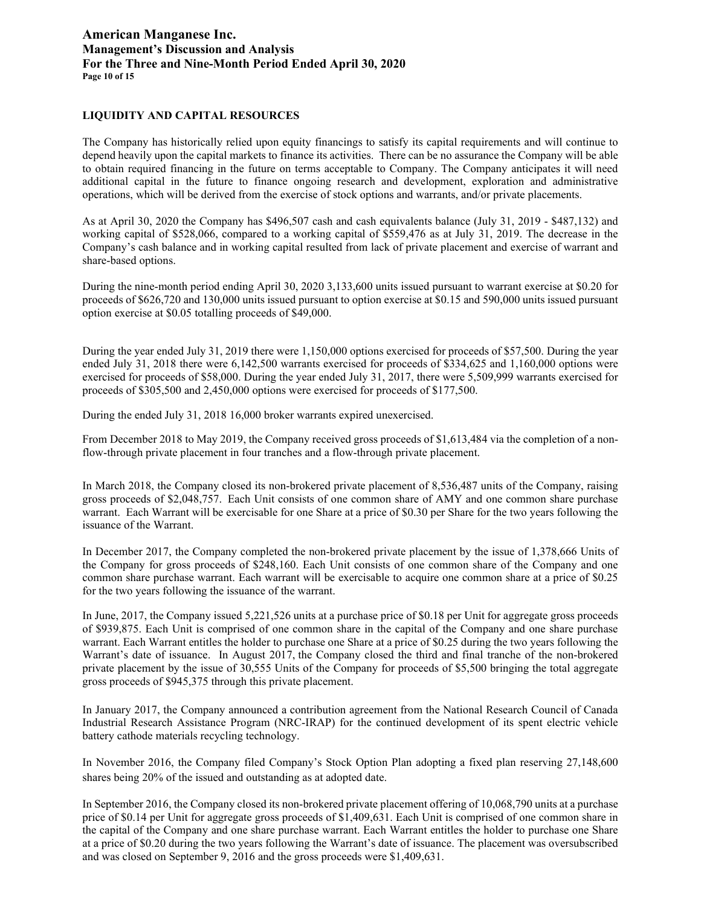# **American Manganese Inc. Management's Discussion and Analysis For the Three and Nine-Month Period Ended April 30, 2020 Page 10 of 15**

### **LIQUIDITY AND CAPITAL RESOURCES**

The Company has historically relied upon equity financings to satisfy its capital requirements and will continue to depend heavily upon the capital markets to finance its activities. There can be no assurance the Company will be able to obtain required financing in the future on terms acceptable to Company. The Company anticipates it will need additional capital in the future to finance ongoing research and development, exploration and administrative operations, which will be derived from the exercise of stock options and warrants, and/or private placements.

As at April 30, 2020 the Company has \$496,507 cash and cash equivalents balance (July 31, 2019 - \$487,132) and working capital of \$528,066, compared to a working capital of \$559,476 as at July 31, 2019. The decrease in the Company's cash balance and in working capital resulted from lack of private placement and exercise of warrant and share-based options.

During the nine-month period ending April 30, 2020 3,133,600 units issued pursuant to warrant exercise at \$0.20 for proceeds of \$626,720 and 130,000 units issued pursuant to option exercise at \$0.15 and 590,000 units issued pursuant option exercise at \$0.05 totalling proceeds of \$49,000.

During the year ended July 31, 2019 there were 1,150,000 options exercised for proceeds of \$57,500. During the year ended July 31, 2018 there were 6,142,500 warrants exercised for proceeds of \$334,625 and 1,160,000 options were exercised for proceeds of \$58,000. During the year ended July 31, 2017, there were 5,509,999 warrants exercised for proceeds of \$305,500 and 2,450,000 options were exercised for proceeds of \$177,500.

During the ended July 31, 2018 16,000 broker warrants expired unexercised.

From December 2018 to May 2019, the Company received gross proceeds of \$1,613,484 via the completion of a nonflow-through private placement in four tranches and a flow-through private placement.

In March 2018, the Company closed its non-brokered private placement of 8,536,487 units of the Company, raising gross proceeds of \$2,048,757. Each Unit consists of one common share of AMY and one common share purchase warrant. Each Warrant will be exercisable for one Share at a price of \$0.30 per Share for the two years following the issuance of the Warrant.

In December 2017, the Company completed the non-brokered private placement by the issue of 1,378,666 Units of the Company for gross proceeds of \$248,160. Each Unit consists of one common share of the Company and one common share purchase warrant. Each warrant will be exercisable to acquire one common share at a price of \$0.25 for the two years following the issuance of the warrant.

In June, 2017, the Company issued 5,221,526 units at a purchase price of \$0.18 per Unit for aggregate gross proceeds of \$939,875. Each Unit is comprised of one common share in the capital of the Company and one share purchase warrant. Each Warrant entitles the holder to purchase one Share at a price of \$0.25 during the two years following the Warrant's date of issuance. In August 2017, the Company closed the third and final tranche of the non-brokered private placement by the issue of 30,555 Units of the Company for proceeds of \$5,500 bringing the total aggregate gross proceeds of \$945,375 through this private placement.

In January 2017, the Company announced a contribution agreement from the National Research Council of Canada Industrial Research Assistance Program (NRC-IRAP) for the continued development of its spent electric vehicle battery cathode materials recycling technology.

In November 2016, the Company filed Company's Stock Option Plan adopting a fixed plan reserving 27,148,600 shares being 20% of the issued and outstanding as at adopted date.

In September 2016, the Company closed its non-brokered private placement offering of 10,068,790 units at a purchase price of \$0.14 per Unit for aggregate gross proceeds of \$1,409,631. Each Unit is comprised of one common share in the capital of the Company and one share purchase warrant. Each Warrant entitles the holder to purchase one Share at a price of \$0.20 during the two years following the Warrant's date of issuance. The placement was oversubscribed and was closed on September 9, 2016 and the gross proceeds were \$1,409,631.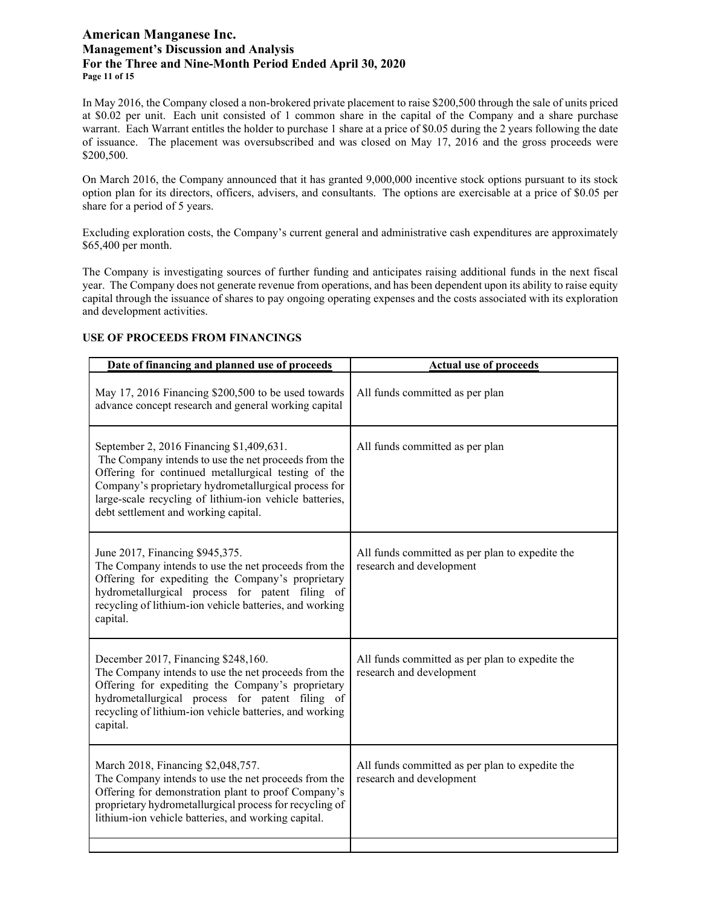# **American Manganese Inc. Management's Discussion and Analysis For the Three and Nine-Month Period Ended April 30, 2020 Page 11 of 15**

In May 2016, the Company closed a non-brokered private placement to raise \$200,500 through the sale of units priced at \$0.02 per unit. Each unit consisted of 1 common share in the capital of the Company and a share purchase warrant. Each Warrant entitles the holder to purchase 1 share at a price of \$0.05 during the 2 years following the date of issuance. The placement was oversubscribed and was closed on May 17, 2016 and the gross proceeds were \$200,500.

On March 2016, the Company announced that it has granted 9,000,000 incentive stock options pursuant to its stock option plan for its directors, officers, advisers, and consultants. The options are exercisable at a price of \$0.05 per share for a period of 5 years.

Excluding exploration costs, the Company's current general and administrative cash expenditures are approximately \$65,400 per month.

The Company is investigating sources of further funding and anticipates raising additional funds in the next fiscal year. The Company does not generate revenue from operations, and has been dependent upon its ability to raise equity capital through the issuance of shares to pay ongoing operating expenses and the costs associated with its exploration and development activities.

# **USE OF PROCEEDS FROM FINANCINGS**

| Date of financing and planned use of proceeds                                                                                                                                                                                                                                                                      | <b>Actual use of proceeds</b>                                               |
|--------------------------------------------------------------------------------------------------------------------------------------------------------------------------------------------------------------------------------------------------------------------------------------------------------------------|-----------------------------------------------------------------------------|
| May 17, 2016 Financing \$200,500 to be used towards<br>advance concept research and general working capital                                                                                                                                                                                                        | All funds committed as per plan                                             |
| September 2, 2016 Financing \$1,409,631.<br>The Company intends to use the net proceeds from the<br>Offering for continued metallurgical testing of the<br>Company's proprietary hydrometallurgical process for<br>large-scale recycling of lithium-ion vehicle batteries,<br>debt settlement and working capital. | All funds committed as per plan                                             |
| June 2017, Financing \$945,375.<br>The Company intends to use the net proceeds from the<br>Offering for expediting the Company's proprietary<br>hydrometallurgical process for patent filing of<br>recycling of lithium-ion vehicle batteries, and working<br>capital.                                             | All funds committed as per plan to expedite the<br>research and development |
| December 2017, Financing \$248,160.<br>The Company intends to use the net proceeds from the<br>Offering for expediting the Company's proprietary<br>hydrometallurgical process for patent filing of<br>recycling of lithium-ion vehicle batteries, and working<br>capital.                                         | All funds committed as per plan to expedite the<br>research and development |
| March 2018, Financing \$2,048,757.<br>The Company intends to use the net proceeds from the<br>Offering for demonstration plant to proof Company's<br>proprietary hydrometallurgical process for recycling of<br>lithium-ion vehicle batteries, and working capital.                                                | All funds committed as per plan to expedite the<br>research and development |
|                                                                                                                                                                                                                                                                                                                    |                                                                             |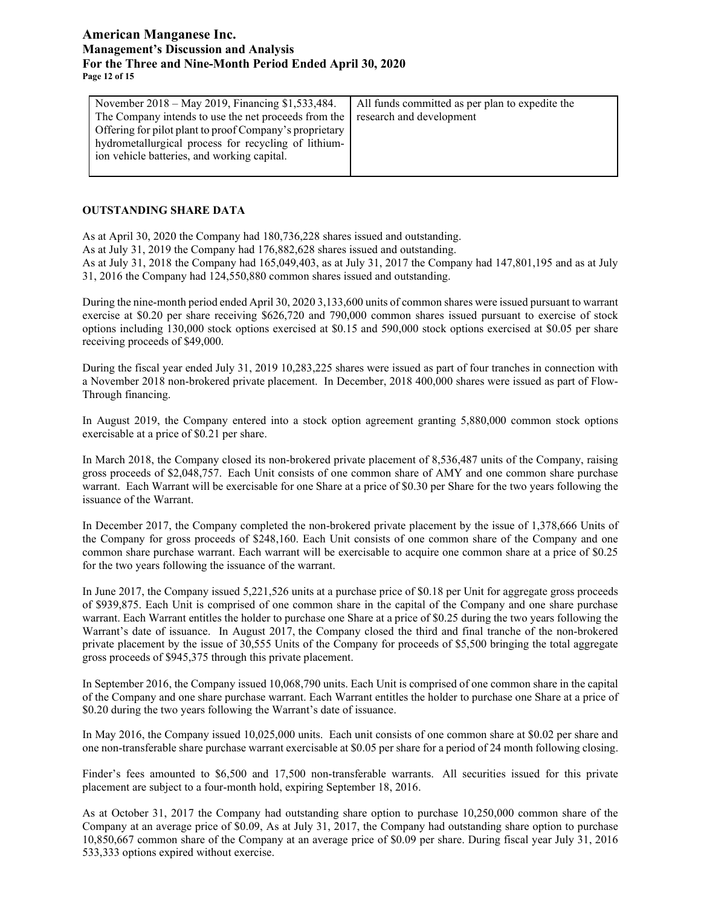# **American Manganese Inc. Management's Discussion and Analysis For the Three and Nine-Month Period Ended April 30, 2020 Page 12 of 15**

| All funds committed as per plan to expedite the<br>The Company intends to use the net proceeds from the<br>research and development<br>Offering for pilot plant to proof Company's proprietary<br>hydrometallurgical process for recycling of lithium- |
|--------------------------------------------------------------------------------------------------------------------------------------------------------------------------------------------------------------------------------------------------------|
|                                                                                                                                                                                                                                                        |
|                                                                                                                                                                                                                                                        |

### **OUTSTANDING SHARE DATA**

As at April 30, 2020 the Company had 180,736,228 shares issued and outstanding.

As at July 31, 2019 the Company had 176,882,628 shares issued and outstanding.

As at July 31, 2018 the Company had 165,049,403, as at July 31, 2017 the Company had 147,801,195 and as at July 31, 2016 the Company had 124,550,880 common shares issued and outstanding.

During the nine-month period ended April 30, 2020 3,133,600 units of common shares were issued pursuant to warrant exercise at \$0.20 per share receiving \$626,720 and 790,000 common shares issued pursuant to exercise of stock options including 130,000 stock options exercised at \$0.15 and 590,000 stock options exercised at \$0.05 per share receiving proceeds of \$49,000.

During the fiscal year ended July 31, 2019 10,283,225 shares were issued as part of four tranches in connection with a November 2018 non-brokered private placement. In December, 2018 400,000 shares were issued as part of Flow-Through financing.

In August 2019, the Company entered into a stock option agreement granting 5,880,000 common stock options exercisable at a price of \$0.21 per share.

In March 2018, the Company closed its non-brokered private placement of 8,536,487 units of the Company, raising gross proceeds of \$2,048,757. Each Unit consists of one common share of AMY and one common share purchase warrant. Each Warrant will be exercisable for one Share at a price of \$0.30 per Share for the two years following the issuance of the Warrant.

In December 2017, the Company completed the non-brokered private placement by the issue of 1,378,666 Units of the Company for gross proceeds of \$248,160. Each Unit consists of one common share of the Company and one common share purchase warrant. Each warrant will be exercisable to acquire one common share at a price of \$0.25 for the two years following the issuance of the warrant.

In June 2017, the Company issued 5,221,526 units at a purchase price of \$0.18 per Unit for aggregate gross proceeds of \$939,875. Each Unit is comprised of one common share in the capital of the Company and one share purchase warrant. Each Warrant entitles the holder to purchase one Share at a price of \$0.25 during the two years following the Warrant's date of issuance. In August 2017, the Company closed the third and final tranche of the non-brokered private placement by the issue of 30,555 Units of the Company for proceeds of \$5,500 bringing the total aggregate gross proceeds of \$945,375 through this private placement.

In September 2016, the Company issued 10,068,790 units. Each Unit is comprised of one common share in the capital of the Company and one share purchase warrant. Each Warrant entitles the holder to purchase one Share at a price of \$0.20 during the two years following the Warrant's date of issuance.

In May 2016, the Company issued 10,025,000 units. Each unit consists of one common share at \$0.02 per share and one non-transferable share purchase warrant exercisable at \$0.05 per share for a period of 24 month following closing.

Finder's fees amounted to \$6,500 and 17,500 non-transferable warrants. All securities issued for this private placement are subject to a four-month hold, expiring September 18, 2016.

As at October 31, 2017 the Company had outstanding share option to purchase 10,250,000 common share of the Company at an average price of \$0.09, As at July 31, 2017, the Company had outstanding share option to purchase 10,850,667 common share of the Company at an average price of \$0.09 per share. During fiscal year July 31, 2016 533,333 options expired without exercise.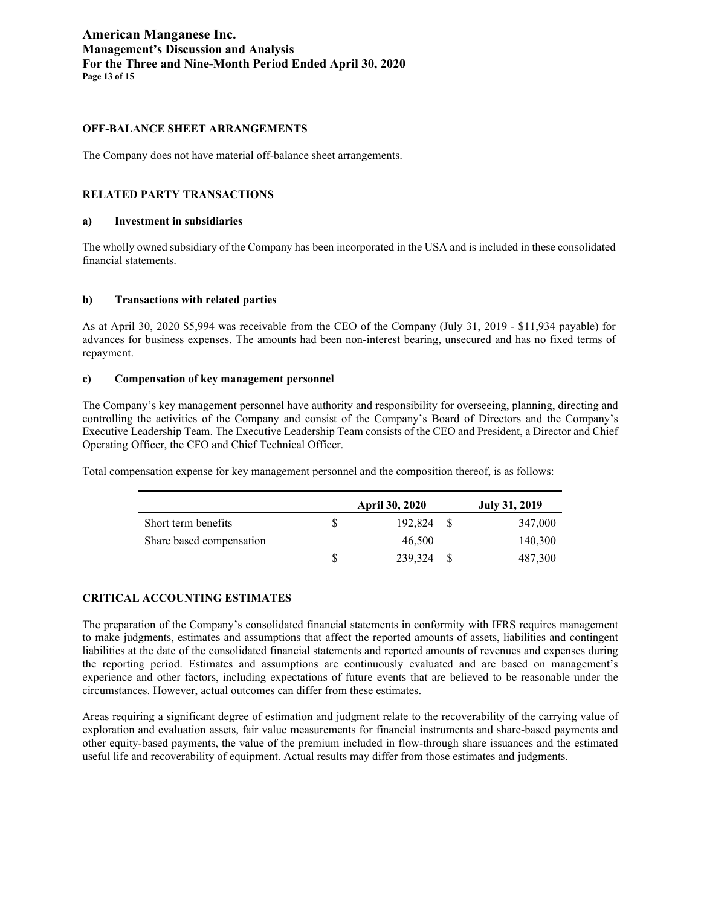# **American Manganese Inc. Management's Discussion and Analysis For the Three and Nine-Month Period Ended April 30, 2020 Page 13 of 15**

### **OFF-BALANCE SHEET ARRANGEMENTS**

The Company does not have material off-balance sheet arrangements.

### **RELATED PARTY TRANSACTIONS**

#### **a) Investment in subsidiaries**

The wholly owned subsidiary of the Company has been incorporated in the USA and is included in these consolidated financial statements.

### **b) Transactions with related parties**

As at April 30, 2020 \$5,994 was receivable from the CEO of the Company (July 31, 2019 - \$11,934 payable) for advances for business expenses. The amounts had been non-interest bearing, unsecured and has no fixed terms of repayment.

#### **c) Compensation of key management personnel**

The Company's key management personnel have authority and responsibility for overseeing, planning, directing and controlling the activities of the Company and consist of the Company's Board of Directors and the Company's Executive Leadership Team. The Executive Leadership Team consists of the CEO and President, a Director and Chief Operating Officer, the CFO and Chief Technical Officer.

Total compensation expense for key management personnel and the composition thereof, is as follows:

|                          | <b>April 30, 2020</b> | July 31, 2019 |
|--------------------------|-----------------------|---------------|
| Short term benefits      | 192,824               | 347,000       |
| Share based compensation | 46,500                | 140,300       |
|                          | 239,324               | 487.300       |

### **CRITICAL ACCOUNTING ESTIMATES**

The preparation of the Company's consolidated financial statements in conformity with IFRS requires management to make judgments, estimates and assumptions that affect the reported amounts of assets, liabilities and contingent liabilities at the date of the consolidated financial statements and reported amounts of revenues and expenses during the reporting period. Estimates and assumptions are continuously evaluated and are based on management's experience and other factors, including expectations of future events that are believed to be reasonable under the circumstances. However, actual outcomes can differ from these estimates.

Areas requiring a significant degree of estimation and judgment relate to the recoverability of the carrying value of exploration and evaluation assets, fair value measurements for financial instruments and share-based payments and other equity-based payments, the value of the premium included in flow-through share issuances and the estimated useful life and recoverability of equipment. Actual results may differ from those estimates and judgments.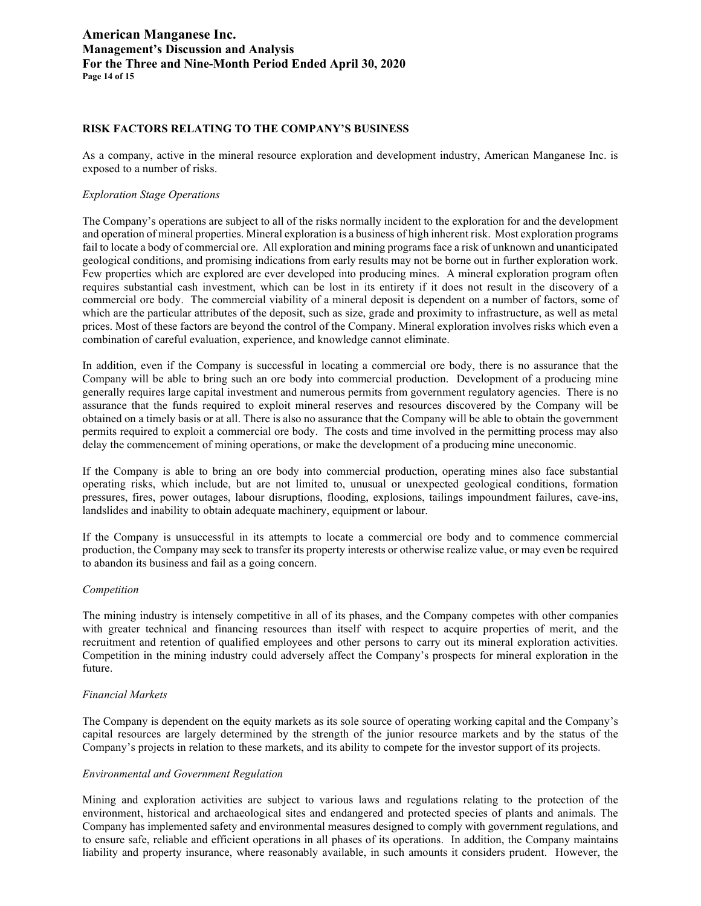# **American Manganese Inc. Management's Discussion and Analysis For the Three and Nine-Month Period Ended April 30, 2020 Page 14 of 15**

### **RISK FACTORS RELATING TO THE COMPANY'S BUSINESS**

As a company, active in the mineral resource exploration and development industry, American Manganese Inc. is exposed to a number of risks.

#### *Exploration Stage Operations*

The Company's operations are subject to all of the risks normally incident to the exploration for and the development and operation of mineral properties. Mineral exploration is a business of high inherent risk. Most exploration programs fail to locate a body of commercial ore. All exploration and mining programs face a risk of unknown and unanticipated geological conditions, and promising indications from early results may not be borne out in further exploration work. Few properties which are explored are ever developed into producing mines. A mineral exploration program often requires substantial cash investment, which can be lost in its entirety if it does not result in the discovery of a commercial ore body. The commercial viability of a mineral deposit is dependent on a number of factors, some of which are the particular attributes of the deposit, such as size, grade and proximity to infrastructure, as well as metal prices. Most of these factors are beyond the control of the Company. Mineral exploration involves risks which even a combination of careful evaluation, experience, and knowledge cannot eliminate.

In addition, even if the Company is successful in locating a commercial ore body, there is no assurance that the Company will be able to bring such an ore body into commercial production. Development of a producing mine generally requires large capital investment and numerous permits from government regulatory agencies. There is no assurance that the funds required to exploit mineral reserves and resources discovered by the Company will be obtained on a timely basis or at all. There is also no assurance that the Company will be able to obtain the government permits required to exploit a commercial ore body. The costs and time involved in the permitting process may also delay the commencement of mining operations, or make the development of a producing mine uneconomic.

If the Company is able to bring an ore body into commercial production, operating mines also face substantial operating risks, which include, but are not limited to, unusual or unexpected geological conditions, formation pressures, fires, power outages, labour disruptions, flooding, explosions, tailings impoundment failures, cave-ins, landslides and inability to obtain adequate machinery, equipment or labour.

If the Company is unsuccessful in its attempts to locate a commercial ore body and to commence commercial production, the Company may seek to transfer its property interests or otherwise realize value, or may even be required to abandon its business and fail as a going concern.

#### *Competition*

The mining industry is intensely competitive in all of its phases, and the Company competes with other companies with greater technical and financing resources than itself with respect to acquire properties of merit, and the recruitment and retention of qualified employees and other persons to carry out its mineral exploration activities. Competition in the mining industry could adversely affect the Company's prospects for mineral exploration in the future.

#### *Financial Markets*

The Company is dependent on the equity markets as its sole source of operating working capital and the Company's capital resources are largely determined by the strength of the junior resource markets and by the status of the Company's projects in relation to these markets, and its ability to compete for the investor support of its projects.

#### *Environmental and Government Regulation*

Mining and exploration activities are subject to various laws and regulations relating to the protection of the environment, historical and archaeological sites and endangered and protected species of plants and animals. The Company has implemented safety and environmental measures designed to comply with government regulations, and to ensure safe, reliable and efficient operations in all phases of its operations. In addition, the Company maintains liability and property insurance, where reasonably available, in such amounts it considers prudent. However, the